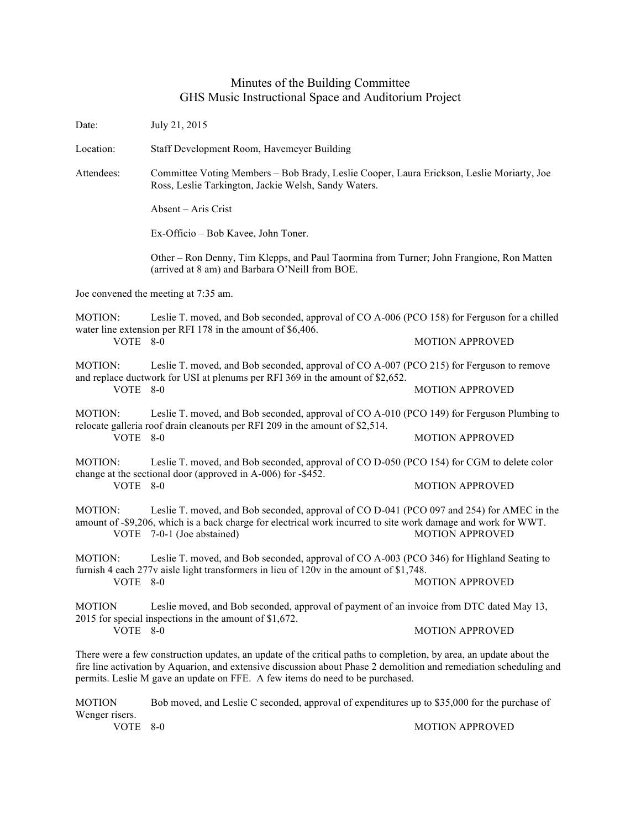## Minutes of the Building Committee GHS Music Instructional Space and Auditorium Project

| Date:                                                                                                                                                                                                                                                                                                                     | July 21, 2015                                                                                                                                                                                                                            |                        |
|---------------------------------------------------------------------------------------------------------------------------------------------------------------------------------------------------------------------------------------------------------------------------------------------------------------------------|------------------------------------------------------------------------------------------------------------------------------------------------------------------------------------------------------------------------------------------|------------------------|
| Location:                                                                                                                                                                                                                                                                                                                 | Staff Development Room, Havemeyer Building                                                                                                                                                                                               |                        |
| Attendees:                                                                                                                                                                                                                                                                                                                | Committee Voting Members - Bob Brady, Leslie Cooper, Laura Erickson, Leslie Moriarty, Joe<br>Ross, Leslie Tarkington, Jackie Welsh, Sandy Waters.                                                                                        |                        |
|                                                                                                                                                                                                                                                                                                                           | Absent – Aris Crist                                                                                                                                                                                                                      |                        |
|                                                                                                                                                                                                                                                                                                                           | Ex-Officio - Bob Kavee, John Toner.                                                                                                                                                                                                      |                        |
|                                                                                                                                                                                                                                                                                                                           | Other – Ron Denny, Tim Klepps, and Paul Taormina from Turner; John Frangione, Ron Matten<br>(arrived at 8 am) and Barbara O'Neill from BOE.                                                                                              |                        |
| Joe convened the meeting at 7:35 am.                                                                                                                                                                                                                                                                                      |                                                                                                                                                                                                                                          |                        |
| <b>MOTION:</b>                                                                                                                                                                                                                                                                                                            | Leslie T. moved, and Bob seconded, approval of CO A-006 (PCO 158) for Ferguson for a chilled                                                                                                                                             |                        |
| VOTE 8-0                                                                                                                                                                                                                                                                                                                  | water line extension per RFI 178 in the amount of \$6,406.                                                                                                                                                                               | <b>MOTION APPROVED</b> |
| <b>MOTION:</b>                                                                                                                                                                                                                                                                                                            | Leslie T. moved, and Bob seconded, approval of CO A-007 (PCO 215) for Ferguson to remove<br>and replace ductwork for USI at plenums per RFI 369 in the amount of \$2,652.                                                                |                        |
| VOTE 8-0                                                                                                                                                                                                                                                                                                                  |                                                                                                                                                                                                                                          | <b>MOTION APPROVED</b> |
| MOTION:                                                                                                                                                                                                                                                                                                                   | Leslie T. moved, and Bob seconded, approval of CO A-010 (PCO 149) for Ferguson Plumbing to                                                                                                                                               |                        |
| VOTE 8-0                                                                                                                                                                                                                                                                                                                  | relocate galleria roof drain cleanouts per RFI 209 in the amount of \$2,514.                                                                                                                                                             | <b>MOTION APPROVED</b> |
| <b>MOTION:</b>                                                                                                                                                                                                                                                                                                            | Leslie T. moved, and Bob seconded, approval of CO D-050 (PCO 154) for CGM to delete color<br>change at the sectional door (approved in A-006) for -\$452.                                                                                |                        |
| VOTE 8-0                                                                                                                                                                                                                                                                                                                  |                                                                                                                                                                                                                                          | <b>MOTION APPROVED</b> |
| MOTION:                                                                                                                                                                                                                                                                                                                   | Leslie T. moved, and Bob seconded, approval of CO D-041 (PCO 097 and 254) for AMEC in the<br>amount of -\$9,206, which is a back charge for electrical work incurred to site work damage and work for WWT.<br>VOTE 7-0-1 (Joe abstained) | <b>MOTION APPROVED</b> |
| MOTION:                                                                                                                                                                                                                                                                                                                   | Leslie T. moved, and Bob seconded, approval of CO A-003 (PCO 346) for Highland Seating to<br>furnish 4 each 277v aisle light transformers in lieu of 120v in the amount of \$1,748.                                                      |                        |
| VOTE 8-0                                                                                                                                                                                                                                                                                                                  |                                                                                                                                                                                                                                          | <b>MOTION APPROVED</b> |
| <b>MOTION</b>                                                                                                                                                                                                                                                                                                             | Leslie moved, and Bob seconded, approval of payment of an invoice from DTC dated May 13,<br>2015 for special inspections in the amount of \$1,672.                                                                                       |                        |
| VOTE 8-0                                                                                                                                                                                                                                                                                                                  |                                                                                                                                                                                                                                          | <b>MOTION APPROVED</b> |
| There were a few construction updates, an update of the critical paths to completion, by area, an update about the<br>fire line activation by Aquarion, and extensive discussion about Phase 2 demolition and remediation scheduling and<br>permits. Leslie M gave an update on FFE. A few items do need to be purchased. |                                                                                                                                                                                                                                          |                        |
| <b>MOTION</b>                                                                                                                                                                                                                                                                                                             | Bob moved, and Leslie C seconded, approval of expenditures up to \$35,000 for the purchase of                                                                                                                                            |                        |

Wenger risers.<br>VOTE 8-0

MOTION APPROVED